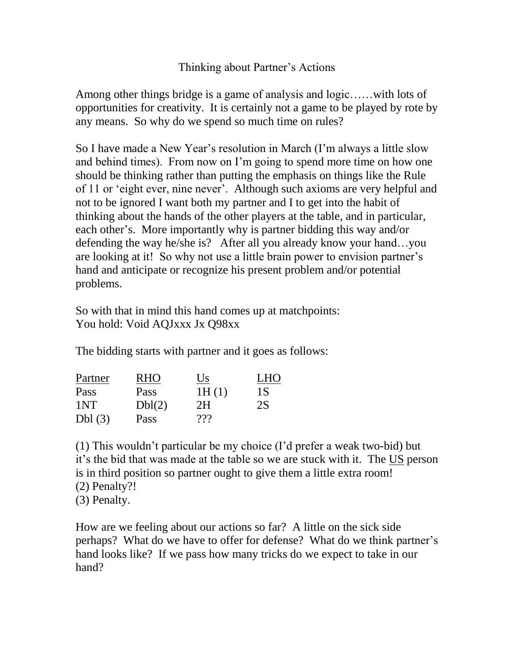## Thinking about Partner"s Actions

Among other things bridge is a game of analysis and logic……with lots of opportunities for creativity. It is certainly not a game to be played by rote by any means. So why do we spend so much time on rules?

So I have made a New Year's resolution in March (I'm always a little slow and behind times). From now on I"m going to spend more time on how one should be thinking rather than putting the emphasis on things like the Rule of 11 or "eight ever, nine never". Although such axioms are very helpful and not to be ignored I want both my partner and I to get into the habit of thinking about the hands of the other players at the table, and in particular, each other's. More importantly why is partner bidding this way and/or defending the way he/she is? After all you already know your hand…you are looking at it! So why not use a little brain power to envision partner"s hand and anticipate or recognize his present problem and/or potential problems.

So with that in mind this hand comes up at matchpoints: You hold: Void AQJxxx Jx Q98xx

The bidding starts with partner and it goes as follows:

| Partner | RHO    | Us    | <b>LHO</b> |
|---------|--------|-------|------------|
| Pass    | Pass   | 1H(1) | 1 S        |
| 1NT     | Dbl(2) | 2H    | 2S         |
| Dbl(3)  | Pass   | ???   |            |

(1) This wouldn"t particular be my choice (I"d prefer a weak two-bid) but it"s the bid that was made at the table so we are stuck with it. The US person is in third position so partner ought to give them a little extra room! (2) Penalty?! (3) Penalty.

How are we feeling about our actions so far? A little on the sick side perhaps? What do we have to offer for defense? What do we think partner"s hand looks like? If we pass how many tricks do we expect to take in our hand?